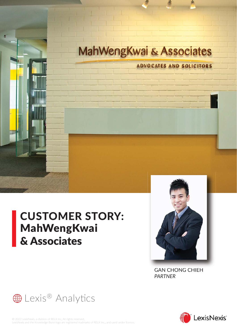

# CUSTOMER STORY: MahWengKwai & Associates



GAN CHONG CHIEH *PARTNER*



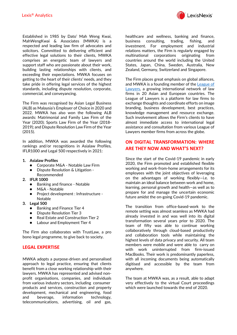LexisNexis'

Established in 1985 by Dato' Mah Weng Kwai, MahWengKwai & Associates (MWKA) is a respected and leading law firm of advocates and solicitors. Committed to delivering efficient and effective legal solutions to their clients, MWKA comprises an energetic team of lawyers and support staff who are passionate about their work, building lasting relationships with clients, and exceeding their expectations. MWKA focuses on getting to the heart of their clients' needs, and they take pride in offering legal services of the highest standards, including dispute resolution, corporate, commercial, and conveyancing.

The Firm was recognised by Asian Legal Business (ALB) as Malaysia's Employer of Choice in 2020 and 2022. MWKA has also won the following ALB awards: Matrimonial and Family Law Firm of the Year (2020); Sports Law Firm of the Year (2018- 2019); and Dispute Resolution Law Firm of the Year (2015).

In addition, MWKA was awarded the following rankings and/or recognitions in Asialaw Profiles, IFLR1000 and Legal 500 respectively in 2021:

- **1. Asialaw Profiles**
	- Corporate M&A Notable Law Firm
	- Dispute Resolution & Litigation -
	- Recommended
- **2. IFLR 1000**
	- Banking and finance Notable
	- M&A Notable
	- Project development : Infrastructure Notable
- **3. Legal 500**
	- Banking and Finance Tier 4
	- **Dispute Resolution Tier 3**
	- Real Estate and Construction Tier 2
	- Labour and Employment Tier 4

The Firm also collaborates with TrustLaw, a pro bono legal programme, to give back to society.

## **LEGAL EXPERTISE**

MWKA adopts a purpose-driven and personalised approach to legal practice, ensuring that clients benefit from a close working relationship with their lawyers. MWKA has represented and advised nonprofit organisations, companies, and individuals from various industry sectors, including consumer products and services, construction and property development, mechanical and engineering, food and beverage, information technology, telecommunications, advertising, oil and gas, healthcare and wellness, banking and finance, business consulting, trading, fishing, and investment. For employment and industrial relations matters, the Firm is regularly engaged by multinational corporations originating from countries around the world including the United States, Japan, China, Sweden, Australia, New Zealand, Germany, Switzerland and Singapore.

The Firm places great emphasis on global alliances, and MWKA is a founding member of the League of [Lawyers,](https://leagueoflawyers.net/) a growing international network of law firms in 20 Asian and European countries. The League of Lawyers is a platform for law firms to exchange thoughts and coordinate efforts on image branding, business development, best practices, knowledge management and resource exchange. Such involvement allows the Firm's clients to have almost immediate access to international legal assistance and consultation from various League of Lawyers member firms from across the globe.

# **ON DIGITAL TRANSFORMATION: WHERE ARE THEY NOW AND WHAT'S NEXT?**

Since the start of the Covid-19 pandemic in early 2020, the Firm promoted and established flexible working and work-from-home arrangements for its employees with the joint objectives of leveraging on the advantages of working flexibly—i.e. to maintain an ideal balance between work and home, learning, personal growth and health—as well as to prepare for and manage the uncertain economic future amidst the on-going Covid-19 pandemic.

The transition from office-based-work to the remote setting was almost seamless as MWKA had already invested in and was well into its digital transformation several years prior to 2020. The team of fifty was able to continue working collaboratively through cloud-based productivity and collaboration tools while maintaining the highest levels of data privacy and security. All team members were mobile and were able to carry on with work uninterrupted from firm-issued MacBooks. Their work is predominantly paperless, with all incoming documents being automatically digitised and accessible by the team from anywhere.

The team at MWKA was, as a result, able to adapt very effectively to the virtual Court proceedings which were launched towards the end of 2020.